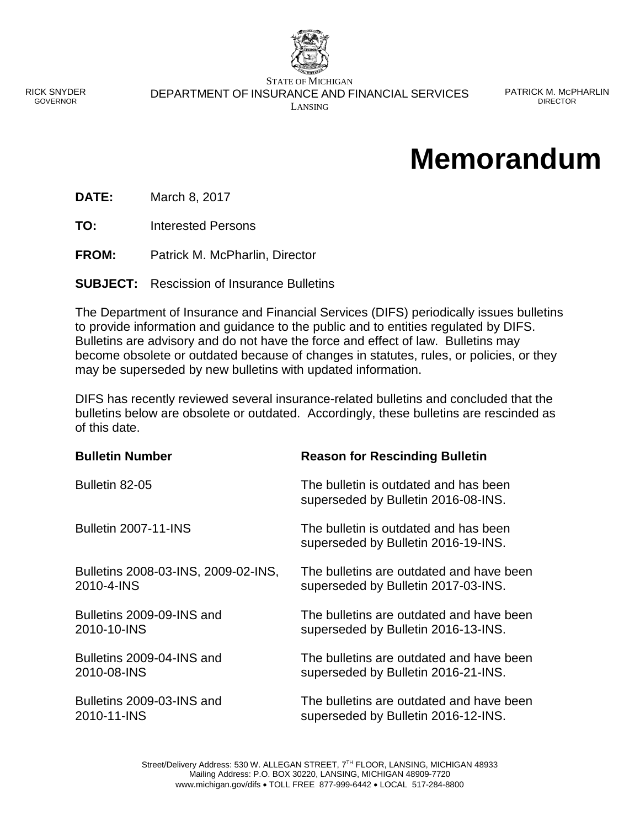

RICK SNYDER GOVERNOR

STATE OF MICHIGAN DEPARTMENT OF INSURANCE AND FINANCIAL SERVICES LANSING

PATRICK M. MCPHARLIN DIRECTOR

## **Memorandum**

**DATE:** March 8, 2017

**TO:** Interested Persons

**FROM:** Patrick M. McPharlin, Director

**SUBJECT:** Rescission of Insurance Bulletins

The Department of Insurance and Financial Services (DIFS) periodically issues bulletins to provide information and guidance to the public and to entities regulated by DIFS. Bulletins are advisory and do not have the force and effect of law. Bulletins may become obsolete or outdated because of changes in statutes, rules, or policies, or they may be superseded by new bulletins with updated information.

DIFS has recently reviewed several insurance-related bulletins and concluded that the bulletins below are obsolete or outdated. Accordingly, these bulletins are rescinded as of this date.

| <b>Bulletin Number</b>              | <b>Reason for Rescinding Bulletin</b>                                        |
|-------------------------------------|------------------------------------------------------------------------------|
| Bulletin 82-05                      | The bulletin is outdated and has been<br>superseded by Bulletin 2016-08-INS. |
| <b>Bulletin 2007-11-INS</b>         | The bulletin is outdated and has been<br>superseded by Bulletin 2016-19-INS. |
| Bulletins 2008-03-INS, 2009-02-INS, | The bulletins are outdated and have been                                     |
| 2010-4-INS                          | superseded by Bulletin 2017-03-INS.                                          |
| Bulletins 2009-09-INS and           | The bulletins are outdated and have been                                     |
| 2010-10-INS                         | superseded by Bulletin 2016-13-INS.                                          |
| Bulletins 2009-04-INS and           | The bulletins are outdated and have been                                     |
| 2010-08-INS                         | superseded by Bulletin 2016-21-INS.                                          |
| Bulletins 2009-03-INS and           | The bulletins are outdated and have been                                     |
| 2010-11-INS                         | superseded by Bulletin 2016-12-INS.                                          |